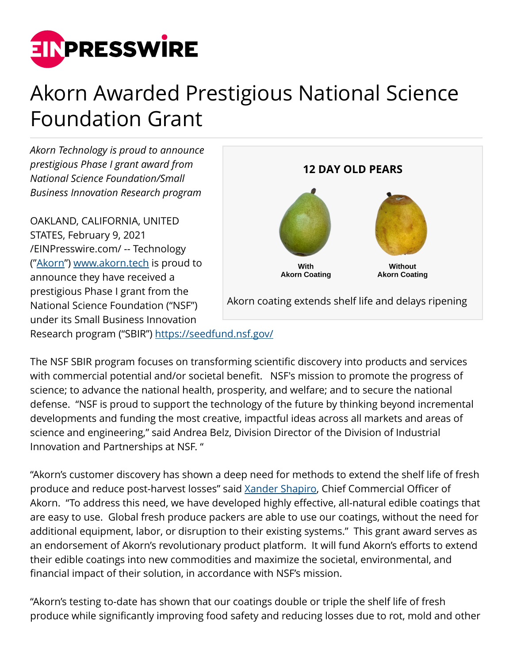

## Akorn Awarded Prestigious National Science Foundation Grant

*Akorn Technology is proud to announce prestigious Phase I grant award from National Science Foundation/Small Business Innovation Research program*

OAKLAND, CALIFORNIA, UNITED STATES, February 9, 2021 [/EINPresswire.com/](http://www.einpresswire.com) -- Technology ("[Akorn"](http://akorn.tech)) [www.akorn.tech](http://www.akorn.tech) is proud to announce they have received a prestigious Phase I grant from the National Science Foundation ("NSF") under its Small Business Innovation



Research program ("SBIR")<https://seedfund.nsf.gov/>

The NSF SBIR program focuses on transforming scientific discovery into products and services with commercial potential and/or societal benefit. NSF's mission to promote the progress of science; to advance the national health, prosperity, and welfare; and to secure the national defense. "NSF is proud to support the technology of the future by thinking beyond incremental developments and funding the most creative, impactful ideas across all markets and areas of science and engineering," said Andrea Belz, Division Director of the Division of Industrial Innovation and Partnerships at NSF. "

"Akorn's customer discovery has shown a deep need for methods to extend the shelf life of fresh produce and reduce post-harvest losses" said [Xander Shapiro](http://www.linkedin.com/in/xander-shapiro/), Chief Commercial Officer of Akorn. "To address this need, we have developed highly effective, all-natural edible coatings that are easy to use. Global fresh produce packers are able to use our coatings, without the need for additional equipment, labor, or disruption to their existing systems." This grant award serves as an endorsement of Akorn's revolutionary product platform. It will fund Akorn's efforts to extend their edible coatings into new commodities and maximize the societal, environmental, and financial impact of their solution, in accordance with NSF's mission.

"Akorn's testing to-date has shown that our coatings double or triple the shelf life of fresh produce while significantly improving food safety and reducing losses due to rot, mold and other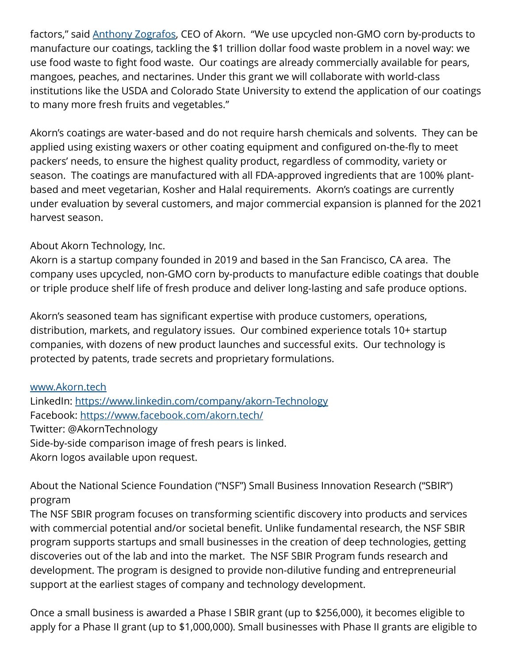factors," said **[Anthony Zografos,](http://www.linkedin.com/in/zografos/) CEO of Akorn.** "We use upcycled non-GMO corn by-products to manufacture our coatings, tackling the \$1 trillion dollar food waste problem in a novel way: we use food waste to fight food waste. Our coatings are already commercially available for pears, mangoes, peaches, and nectarines. Under this grant we will collaborate with world-class institutions like the USDA and Colorado State University to extend the application of our coatings to many more fresh fruits and vegetables."

Akorn's coatings are water-based and do not require harsh chemicals and solvents. They can be applied using existing waxers or other coating equipment and configured on-the-fly to meet packers' needs, to ensure the highest quality product, regardless of commodity, variety or season. The coatings are manufactured with all FDA-approved ingredients that are 100% plantbased and meet vegetarian, Kosher and Halal requirements. Akorn's coatings are currently under evaluation by several customers, and major commercial expansion is planned for the 2021 harvest season.

## About Akorn Technology, Inc.

Akorn is a startup company founded in 2019 and based in the San Francisco, CA area. The company uses upcycled, non-GMO corn by-products to manufacture edible coatings that double or triple produce shelf life of fresh produce and deliver long-lasting and safe produce options.

Akorn's seasoned team has significant expertise with produce customers, operations, distribution, markets, and regulatory issues. Our combined experience totals 10+ startup companies, with dozens of new product launches and successful exits. Our technology is protected by patents, trade secrets and proprietary formulations.

## [www.Akorn.tech](http://www.Akorn.tech)

LinkedIn: <https://www.linkedin.com/company/akorn-Technology> Facebook: <https://www.facebook.com/akorn.tech/> Twitter: @AkornTechnology Side-by-side comparison image of fresh pears is linked. Akorn logos available upon request.

About the National Science Foundation ("NSF") Small Business Innovation Research ("SBIR") program

The NSF SBIR program focuses on transforming scientific discovery into products and services with commercial potential and/or societal benefit. Unlike fundamental research, the NSF SBIR program supports startups and small businesses in the creation of deep technologies, getting discoveries out of the lab and into the market. The NSF SBIR Program funds research and development. The program is designed to provide non-dilutive funding and entrepreneurial support at the earliest stages of company and technology development.

Once a small business is awarded a Phase I SBIR grant (up to \$256,000), it becomes eligible to apply for a Phase II grant (up to \$1,000,000). Small businesses with Phase II grants are eligible to